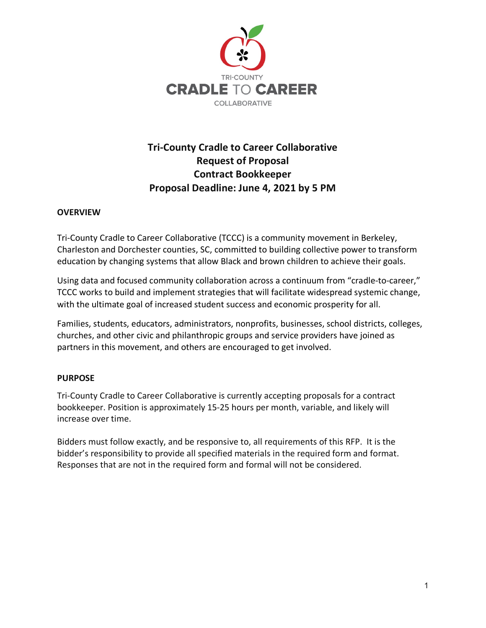

# **Tri-County Cradle to Career Collaborative Request of Proposal Contract Bookkeeper Proposal Deadline: June 4, 2021 by 5 PM**

## **OVERVIEW**

Tri-County Cradle to Career Collaborative (TCCC) is a community movement in Berkeley, Charleston and Dorchester counties, SC, committed to building collective power to transform education by changing systems that allow Black and brown children to achieve their goals.

Using data and focused community collaboration across a continuum from "cradle-to-career," TCCC works to build and implement strategies that will facilitate widespread systemic change, with the ultimate goal of increased student success and economic prosperity for all.

Families, students, educators, administrators, nonprofits, businesses, school districts, colleges, churches, and other civic and philanthropic groups and service providers have joined as partners in this movement, and others are encouraged to get involved.

#### **PURPOSE**

Tri-County Cradle to Career Collaborative is currently accepting proposals for a contract bookkeeper. Position is approximately 15-25 hours per month, variable, and likely will increase over time.

Bidders must follow exactly, and be responsive to, all requirements of this RFP. It is the bidder's responsibility to provide all specified materials in the required form and format. Responses that are not in the required form and formal will not be considered.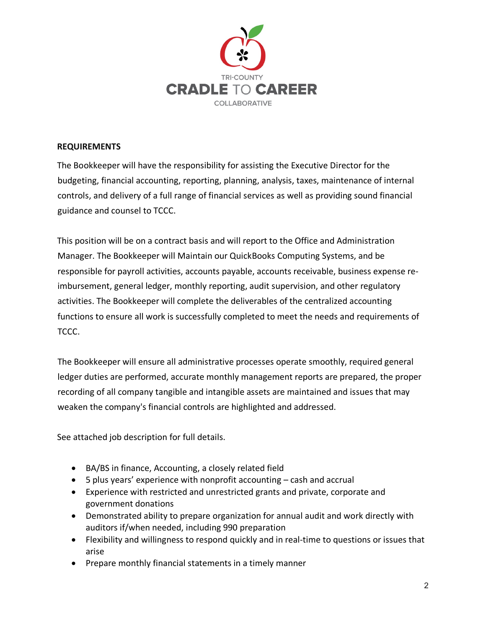

## **REQUIREMENTS**

The Bookkeeper will have the responsibility for assisting the Executive Director for the budgeting, financial accounting, reporting, planning, analysis, taxes, maintenance of internal controls, and delivery of a full range of financial services as well as providing sound financial guidance and counsel to TCCC.

This position will be on a contract basis and will report to the Office and Administration Manager. The Bookkeeper will Maintain our QuickBooks Computing Systems, and be responsible for payroll activities, accounts payable, accounts receivable, business expense reimbursement, general ledger, monthly reporting, audit supervision, and other regulatory activities. The Bookkeeper will complete the deliverables of the centralized accounting functions to ensure all work is successfully completed to meet the needs and requirements of TCCC.

The Bookkeeper will ensure all administrative processes operate smoothly, required general ledger duties are performed, accurate monthly management reports are prepared, the proper recording of all company tangible and intangible assets are maintained and issues that may weaken the company's financial controls are highlighted and addressed.

See attached job description for full details.

- BA/BS in finance, Accounting, a closely related field
- 5 plus years' experience with nonprofit accounting cash and accrual
- Experience with restricted and unrestricted grants and private, corporate and government donations
- Demonstrated ability to prepare organization for annual audit and work directly with auditors if/when needed, including 990 preparation
- Flexibility and willingness to respond quickly and in real-time to questions or issues that arise
- Prepare monthly financial statements in a timely manner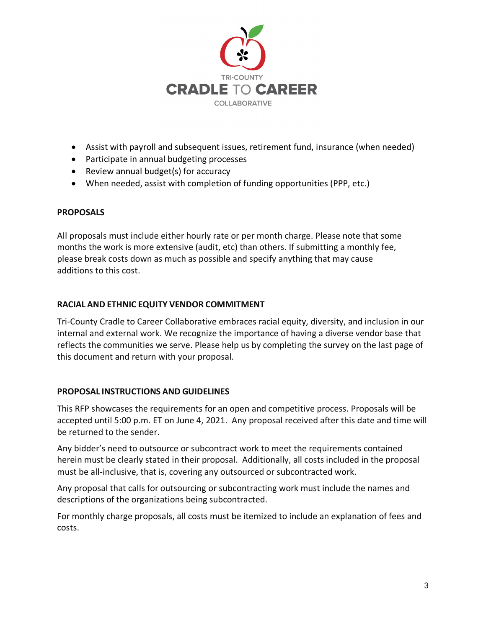

- Assist with payroll and subsequent issues, retirement fund, insurance (when needed)
- Participate in annual budgeting processes
- Review annual budget(s) for accuracy
- When needed, assist with completion of funding opportunities (PPP, etc.)

## **PROPOSALS**

All proposals must include either hourly rate or per month charge. Please note that some months the work is more extensive (audit, etc) than others. If submitting a monthly fee, please break costs down as much as possible and specify anything that may cause additions to this cost.

## **RACIAL AND ETHNIC EQUITY VENDOR COMMITMENT**

Tri-County Cradle to Career Collaborative embraces racial equity, diversity, and inclusion in our internal and external work. We recognize the importance of having a diverse vendor base that reflects the communities we serve. Please help us by completing the survey on the last page of this document and return with your proposal.

#### **PROPOSAL INSTRUCTIONS AND GUIDELINES**

This RFP showcases the requirements for an open and competitive process. Proposals will be accepted until 5:00 p.m. ET on June 4, 2021. Any proposal received after this date and time will be returned to the sender.

Any bidder's need to outsource or subcontract work to meet the requirements contained herein must be clearly stated in their proposal. Additionally, all costs included in the proposal must be all-inclusive, that is, covering any outsourced or subcontracted work.

Any proposal that calls for outsourcing or subcontracting work must include the names and descriptions of the organizations being subcontracted.

For monthly charge proposals, all costs must be itemized to include an explanation of fees and costs.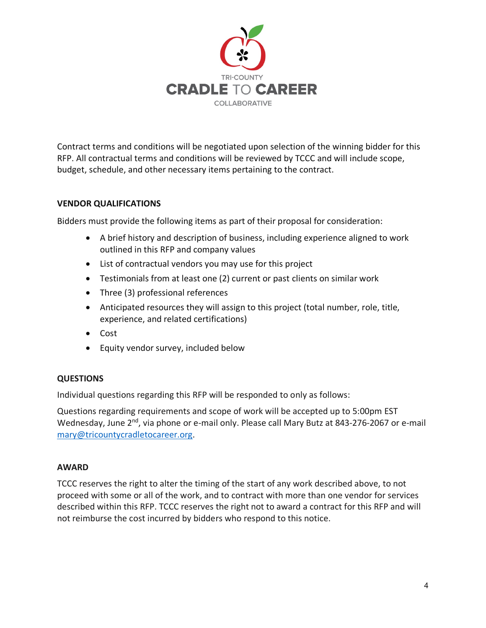

Contract terms and conditions will be negotiated upon selection of the winning bidder for this RFP. All contractual terms and conditions will be reviewed by TCCC and will include scope, budget, schedule, and other necessary items pertaining to the contract.

## **VENDOR QUALIFICATIONS**

Bidders must provide the following items as part of their proposal for consideration:

- A brief history and description of business, including experience aligned to work outlined in this RFP and company values
- List of contractual vendors you may use for this project
- Testimonials from at least one (2) current or past clients on similar work
- Three (3) professional references
- Anticipated resources they will assign to this project (total number, role, title, experience, and related certifications)
- Cost
- Equity vendor survey, included below

#### **QUESTIONS**

Individual questions regarding this RFP will be responded to only as follows:

Questions regarding requirements and scope of work will be accepted up to 5:00pm EST Wednesday, June 2<sup>nd</sup>, via phone or e-mail only. Please call Mary Butz at 843-276-2067 or e-mail [mary@tricountycradletocareer.org.](mailto:mary@tricountycradletocareer.org)

#### **AWARD**

TCCC reserves the right to alter the timing of the start of any work described above, to not proceed with some or all of the work, and to contract with more than one vendor for services described within this RFP. TCCC reserves the right not to award a contract for this RFP and will not reimburse the cost incurred by bidders who respond to this notice.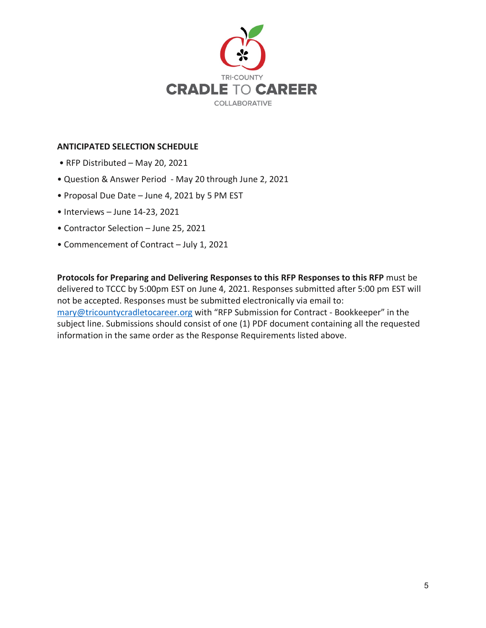

#### **ANTICIPATED SELECTION SCHEDULE**

- RFP Distributed May 20, 2021
- Question & Answer Period May 20 through June 2, 2021
- Proposal Due Date June 4, 2021 by 5 PM EST
- Interviews June 14-23, 2021
- Contractor Selection June 25, 2021
- Commencement of Contract July 1, 2021

**Protocols for Preparing and Delivering Responses to this RFP Responses to this RFP** must be delivered to TCCC by 5:00pm EST on June 4, 2021. Responses submitted after 5:00 pm EST will not be accepted. Responses must be submitted electronically via email to: [mary@tricountycradletocareer.org](mailto:mary@tricountycradletocareer.org) with "RFP Submission for Contract - Bookkeeper" in the subject line. Submissions should consist of one (1) PDF document containing all the requested information in the same order as the Response Requirements listed above.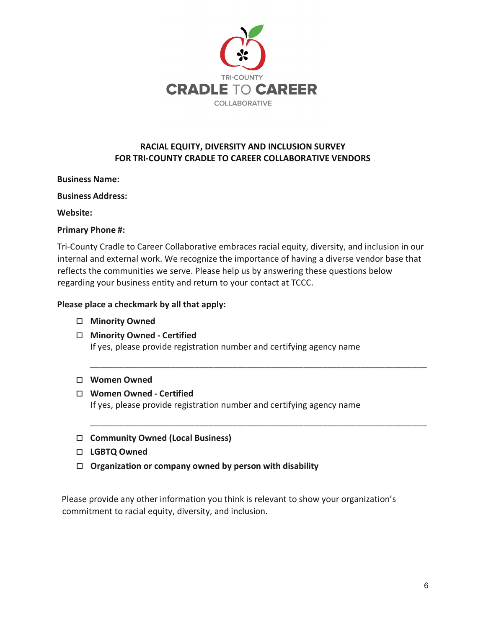

# **RACIAL EQUITY, DIVERSITY AND INCLUSION SURVEY FOR TRI-COUNTY CRADLE TO CAREER COLLABORATIVE VENDORS**

## **Business Name:**

**Business Address:** 

#### **Website:**

## **Primary Phone #:**

Tri-County Cradle to Career Collaborative embraces racial equity, diversity, and inclusion in our internal and external work. We recognize the importance of having a diverse vendor base that reflects the communities we serve. Please help us by answering these questions below regarding your business entity and return to your contact at TCCC.

\_\_\_\_\_\_\_\_\_\_\_\_\_\_\_\_\_\_\_\_\_\_\_\_\_\_\_\_\_\_\_\_\_\_\_\_\_\_\_\_\_\_\_\_\_\_\_\_\_\_\_\_\_\_\_\_\_\_\_\_\_\_\_\_\_\_\_\_\_\_\_

\_\_\_\_\_\_\_\_\_\_\_\_\_\_\_\_\_\_\_\_\_\_\_\_\_\_\_\_\_\_\_\_\_\_\_\_\_\_\_\_\_\_\_\_\_\_\_\_\_\_\_\_\_\_\_\_\_\_\_\_\_\_\_\_\_\_\_\_\_\_\_

## **Please place a checkmark by all that apply:**

- **Minority Owned**
- **Minority Owned - Certified** If yes, please provide registration number and certifying agency name

#### **Women Owned**

#### **Women Owned - Certified**

If yes, please provide registration number and certifying agency name

- **Community Owned (Local Business)**
- **LGBTQ Owned**
- **Organization or company owned by person with disability**

Please provide any other information you think is relevant to show your organization's commitment to racial equity, diversity, and inclusion.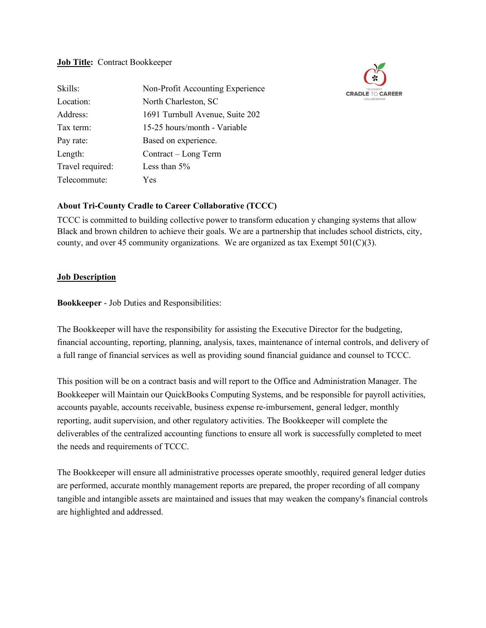#### **Job Title:** Contract Bookkeeper

| Skills:          | Non-Profit Accounting Experience |  |
|------------------|----------------------------------|--|
| Location:        | North Charleston, SC             |  |
| Address:         | 1691 Turnbull Avenue, Suite 202  |  |
| Tax term:        | 15-25 hours/month - Variable     |  |
| Pay rate:        | Based on experience.             |  |
| Length:          | Contract – Long Term             |  |
| Travel required: | Less than $5%$                   |  |
| Telecommute:     | Yes                              |  |



## **About Tri-County Cradle to Career Collaborative (TCCC)**

TCCC is committed to building collective power to transform education y changing systems that allow Black and brown children to achieve their goals. We are a partnership that includes school districts, city, county, and over 45 community organizations. We are organized as tax Exempt  $501(C)(3)$ .

#### **Job Description**

**Bookkeeper** - Job Duties and Responsibilities:

The Bookkeeper will have the responsibility for assisting the Executive Director for the budgeting, financial accounting, reporting, planning, analysis, taxes, maintenance of internal controls, and delivery of a full range of financial services as well as providing sound financial guidance and counsel to TCCC.

This position will be on a contract basis and will report to the Office and Administration Manager. The Bookkeeper will Maintain our QuickBooks Computing Systems, and be responsible for payroll activities, accounts payable, accounts receivable, business expense re-imbursement, general ledger, monthly reporting, audit supervision, and other regulatory activities. The Bookkeeper will complete the deliverables of the centralized accounting functions to ensure all work is successfully completed to meet the needs and requirements of TCCC.

The Bookkeeper will ensure all administrative processes operate smoothly, required general ledger duties are performed, accurate monthly management reports are prepared, the proper recording of all company tangible and intangible assets are maintained and issues that may weaken the company's financial controls are highlighted and addressed.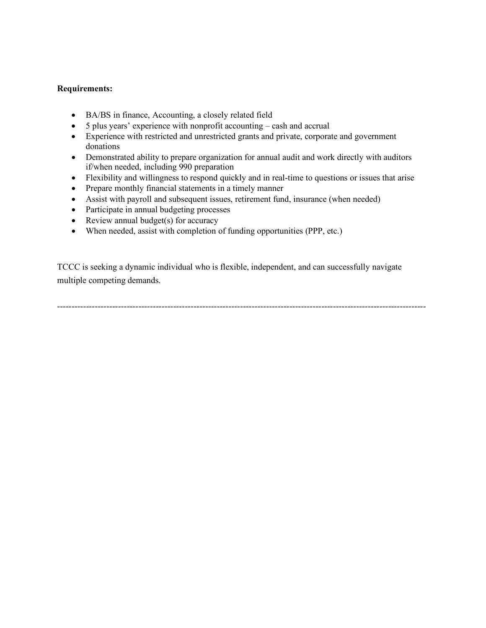#### **Requirements:**

- BA/BS in finance, Accounting, a closely related field
- 5 plus years' experience with nonprofit accounting cash and accrual
- Experience with restricted and unrestricted grants and private, corporate and government donations
- Demonstrated ability to prepare organization for annual audit and work directly with auditors if/when needed, including 990 preparation
- Flexibility and willingness to respond quickly and in real-time to questions or issues that arise
- Prepare monthly financial statements in a timely manner
- Assist with payroll and subsequent issues, retirement fund, insurance (when needed)
- Participate in annual budgeting processes
- Review annual budget(s) for accuracy
- When needed, assist with completion of funding opportunities (PPP, etc.)

TCCC is seeking a dynamic individual who is flexible, independent, and can successfully navigate multiple competing demands.

-------------------------------------------------------------------------------------------------------------------------------